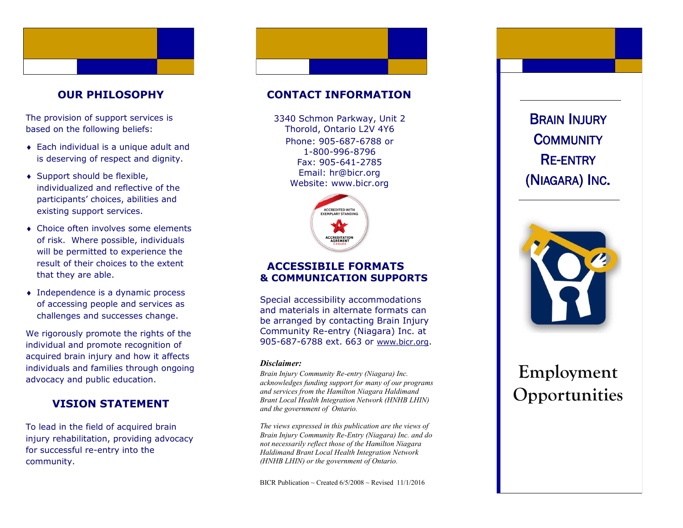## **OUR PHILOSOPHY**

The provision of support services is based on the following beliefs:

- Each individual is a unique adult and is deserving of respect and dignity.
- ◆ Support should be flexible, individualized and reflective of the participants' choices, abilities and existing support services.
- Choice often involves some elements of risk. Where possible, individuals will be permitted to experience the result of their choices to the extent that they are able.
- Independence is a dynamic process of accessing people and services as challenges and successes change.

We rigorously promote the rights of the individual and promote recognition of acquired brain injury and how it affects individuals and families through ongoing advocacy and public education.

# **VISION STATEMENT**

To lead in the field of acquired brain injury rehabilitation, providing advocacy for successful re -entry into the community.

#### **CONTACT INFORMATION**

Phone: 905 -687 -6788 or 1 -800 -996 -8796 Fax: 905 -641 -2785 Email: hr@bicr.org Website: www.bicr.org 3340 Schmon Parkway, Unit 2 Thorold, Ontario L2V 4Y6



#### **ACCESSIBILE FORMATS & COMMUNICATION SUPPORTS**

Special accessibility accommodations and materials in alternate formats can be arranged by contacting Brain Injury Community Re -entry (Niagara) Inc. at 905-687-6788 ext. 663 or [www.bicr.org](http://www.bicr.org).

#### *Disclaimer:*

*Brain Injury Community Re -entry (Niagara) Inc. acknowledges funding support for many of our programs and services from the Hamilton Niagara Haldimand Brant Local Health Integration Network (HNHB LHIN) and the government of Ontario.* 

*The views expressed in this publication are the views of Brain Injury Community Re -Entry (Niagara) Inc. and do not necessarily reflect those of the Hamilton Niagara Haldimand Brant Local Health Integration Network (HNHB LHIN) or the government of Ontario.* 

BICR Publication ~ Created  $6/5/2008$  ~ Revised 11/1/2016

(NIAGARA) INC .



# **Employment**